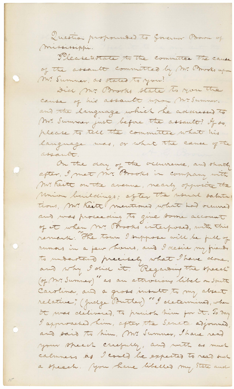Question propounded to Governor Brown of mississippi. Theasetostate to the committee The cause of the assault committed by Mr. Prooks upon Mr. Summer, as stated to you? Did Mr. Brooks state to you the cause of his assault upon Mc Summer. and the language which he adanessed to Mr. Summer just before the assault? If so, please to tell the committee what his language was, or what the cause of the assante. On the day of the occurrence, and shortly after, I met mr. Brooks in company with Mr. heite on the avenue, nearly opposite the Mion buildings; often the would satuta: tions, Mr. Keite (mentioned what had occurred and was proceeding to give some account remark: The town I suppose will be full of rumors in a few hours, and I desire my friends to understand precisely what I have done. and why I did it. Regarding the speech" (of Mr. Summer)" as an attrocion libel on South Carolina, and a gross insult to my absent relative", (Judge Butler) "I determined, when it was delivered, to precise him for it. To Day I approached him, after the Senate adjourned, and said to him, Mr. Summer, I have read your speech carefully, and with as much calmness as I could be expected to read such a speech. You have libelled my State and